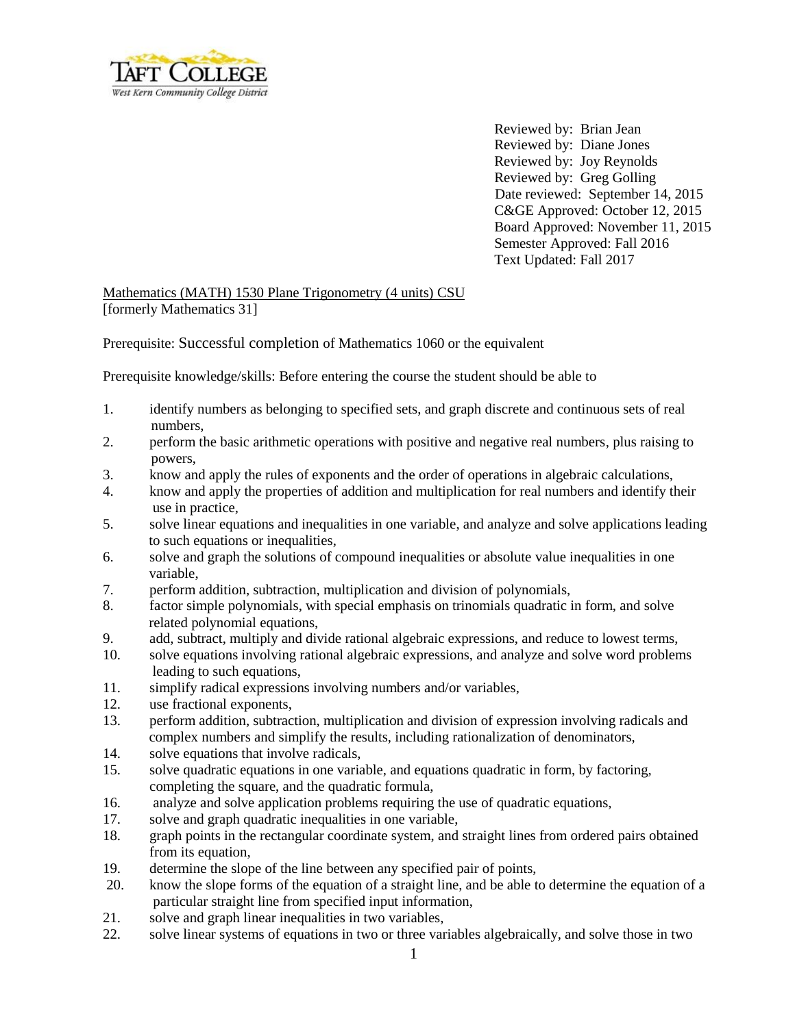

Reviewed by: Brian Jean Reviewed by: Diane Jones Reviewed by: Joy Reynolds Reviewed by: Greg Golling Date reviewed: September 14, 2015 C&GE Approved: October 12, 2015 Board Approved: November 11, 2015 Semester Approved: Fall 2016 Text Updated: Fall 2017

## Mathematics (MATH) 1530 Plane Trigonometry (4 units) CSU [formerly Mathematics 31]

Prerequisite: Successful completion of Mathematics 1060 or the equivalent

Prerequisite knowledge/skills: Before entering the course the student should be able to

- 1. identify numbers as belonging to specified sets, and graph discrete and continuous sets of real numbers,
- 2. perform the basic arithmetic operations with positive and negative real numbers, plus raising to powers,
- 3. know and apply the rules of exponents and the order of operations in algebraic calculations,
- 4. know and apply the properties of addition and multiplication for real numbers and identify their use in practice,
- 5. solve linear equations and inequalities in one variable, and analyze and solve applications leading to such equations or inequalities,
- 6. solve and graph the solutions of compound inequalities or absolute value inequalities in one variable,
- 7. perform addition, subtraction, multiplication and division of polynomials,
- 8. factor simple polynomials, with special emphasis on trinomials quadratic in form, and solve related polynomial equations,
- 9. add, subtract, multiply and divide rational algebraic expressions, and reduce to lowest terms,
- 10. solve equations involving rational algebraic expressions, and analyze and solve word problems leading to such equations,
- 11. simplify radical expressions involving numbers and/or variables,
- 12. use fractional exponents,
- 13. perform addition, subtraction, multiplication and division of expression involving radicals and complex numbers and simplify the results, including rationalization of denominators,
- 14. solve equations that involve radicals,
- 15. solve quadratic equations in one variable, and equations quadratic in form, by factoring, completing the square, and the quadratic formula,
- 16. analyze and solve application problems requiring the use of quadratic equations,
- 17. solve and graph quadratic inequalities in one variable,
- 18. graph points in the rectangular coordinate system, and straight lines from ordered pairs obtained from its equation,
- 19. determine the slope of the line between any specified pair of points,
- 20. know the slope forms of the equation of a straight line, and be able to determine the equation of a particular straight line from specified input information,
- 21. solve and graph linear inequalities in two variables,
- 22. solve linear systems of equations in two or three variables algebraically, and solve those in two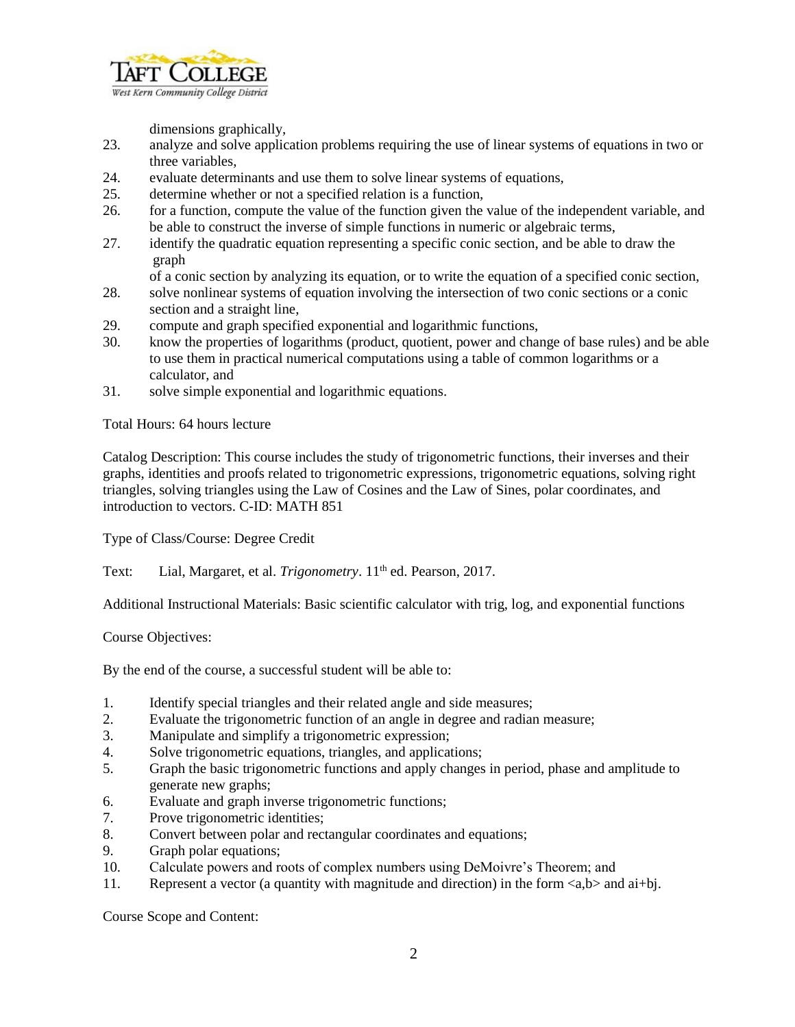

dimensions graphically,

- 23. analyze and solve application problems requiring the use of linear systems of equations in two or three variables,
- 24. evaluate determinants and use them to solve linear systems of equations,
- 25. determine whether or not a specified relation is a function,
- 26. for a function, compute the value of the function given the value of the independent variable, and be able to construct the inverse of simple functions in numeric or algebraic terms,
- 27. identify the quadratic equation representing a specific conic section, and be able to draw the graph

of a conic section by analyzing its equation, or to write the equation of a specified conic section,

- 28. solve nonlinear systems of equation involving the intersection of two conic sections or a conic section and a straight line,
- 29. compute and graph specified exponential and logarithmic functions,
- 30. know the properties of logarithms (product, quotient, power and change of base rules) and be able to use them in practical numerical computations using a table of common logarithms or a calculator, and
- 31. solve simple exponential and logarithmic equations.

Total Hours: 64 hours lecture

Catalog Description: This course includes the study of trigonometric functions, their inverses and their graphs, identities and proofs related to trigonometric expressions, trigonometric equations, solving right triangles, solving triangles using the Law of Cosines and the Law of Sines, polar coordinates, and introduction to vectors. C-ID: MATH 851

Type of Class/Course: Degree Credit

Text: Lial, Margaret, et al. *Trigonometry*. 11<sup>th</sup> ed. Pearson, 2017.

Additional Instructional Materials: Basic scientific calculator with trig, log, and exponential functions

Course Objectives:

By the end of the course, a successful student will be able to:

- 1. Identify special triangles and their related angle and side measures;
- 2. Evaluate the trigonometric function of an angle in degree and radian measure;
- 3. Manipulate and simplify a trigonometric expression;
- 4. Solve trigonometric equations, triangles, and applications;
- 5. Graph the basic trigonometric functions and apply changes in period, phase and amplitude to generate new graphs;
- 6. Evaluate and graph inverse trigonometric functions;
- 7. Prove trigonometric identities;
- 8. Convert between polar and rectangular coordinates and equations;
- 9. Graph polar equations;
- 10. Calculate powers and roots of complex numbers using DeMoivre's Theorem; and
- 11. Represent a vector (a quantity with magnitude and direction) in the form  $\langle a, b \rangle$  and ai+bj.

Course Scope and Content: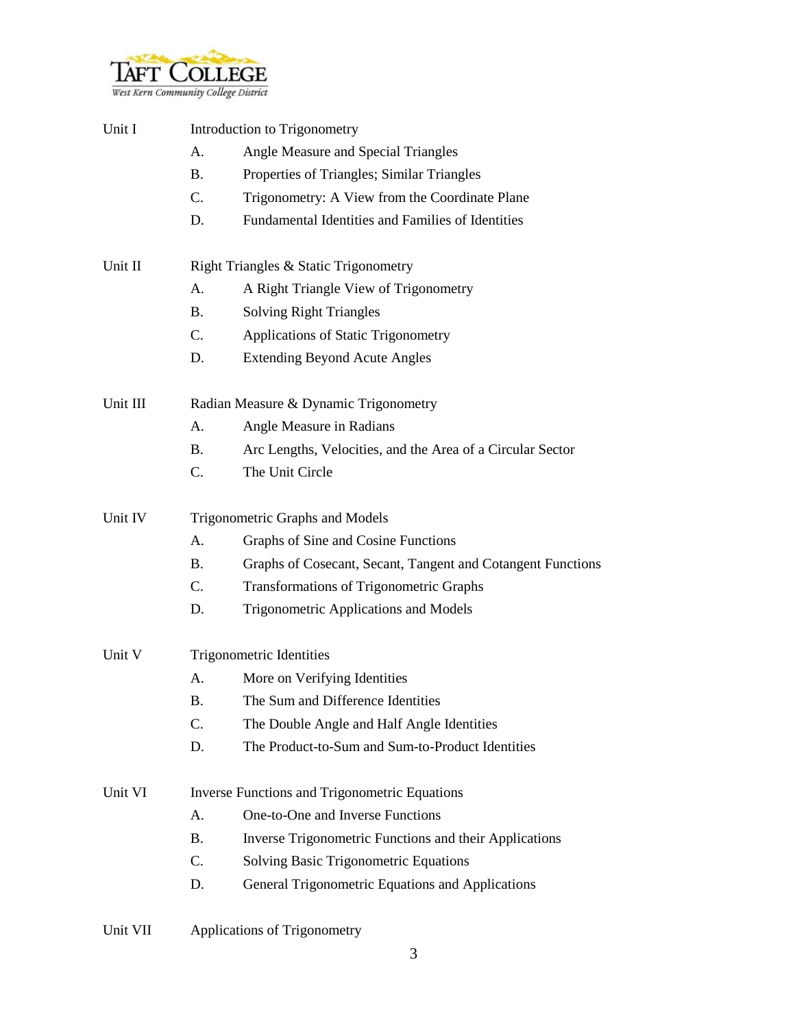

| Unit I   | Introduction to Trigonometry                         |                                                             |  |  |
|----------|------------------------------------------------------|-------------------------------------------------------------|--|--|
|          | A.                                                   | Angle Measure and Special Triangles                         |  |  |
|          | <b>B.</b>                                            | Properties of Triangles; Similar Triangles                  |  |  |
|          | $\mathcal{C}$ .                                      | Trigonometry: A View from the Coordinate Plane              |  |  |
|          | D.                                                   | Fundamental Identities and Families of Identities           |  |  |
| Unit II  | Right Triangles & Static Trigonometry                |                                                             |  |  |
|          | А.                                                   | A Right Triangle View of Trigonometry                       |  |  |
|          | <b>B.</b>                                            | <b>Solving Right Triangles</b>                              |  |  |
|          | $C_{\cdot}$                                          | Applications of Static Trigonometry                         |  |  |
|          | D.                                                   | <b>Extending Beyond Acute Angles</b>                        |  |  |
| Unit III | Radian Measure & Dynamic Trigonometry                |                                                             |  |  |
|          | А.                                                   | Angle Measure in Radians                                    |  |  |
|          | <b>B.</b>                                            | Arc Lengths, Velocities, and the Area of a Circular Sector  |  |  |
|          | C.                                                   | The Unit Circle                                             |  |  |
| Unit IV  | Trigonometric Graphs and Models                      |                                                             |  |  |
|          | A.                                                   | Graphs of Sine and Cosine Functions                         |  |  |
|          | <b>B.</b>                                            | Graphs of Cosecant, Secant, Tangent and Cotangent Functions |  |  |
|          | C.                                                   | <b>Transformations of Trigonometric Graphs</b>              |  |  |
|          | D.                                                   | Trigonometric Applications and Models                       |  |  |
| Unit V   | <b>Trigonometric Identities</b>                      |                                                             |  |  |
|          | А.                                                   | More on Verifying Identities                                |  |  |
|          | <b>B.</b>                                            | The Sum and Difference Identities                           |  |  |
|          | C.                                                   | The Double Angle and Half Angle Identities                  |  |  |
|          | D.                                                   | The Product-to-Sum and Sum-to-Product Identities            |  |  |
| Unit VI  | <b>Inverse Functions and Trigonometric Equations</b> |                                                             |  |  |
|          | A.                                                   | One-to-One and Inverse Functions                            |  |  |
|          | <b>B.</b>                                            | Inverse Trigonometric Functions and their Applications      |  |  |
|          | C.                                                   | <b>Solving Basic Trigonometric Equations</b>                |  |  |
|          | D.                                                   | General Trigonometric Equations and Applications            |  |  |
|          |                                                      |                                                             |  |  |

Unit VII Applications of Trigonometry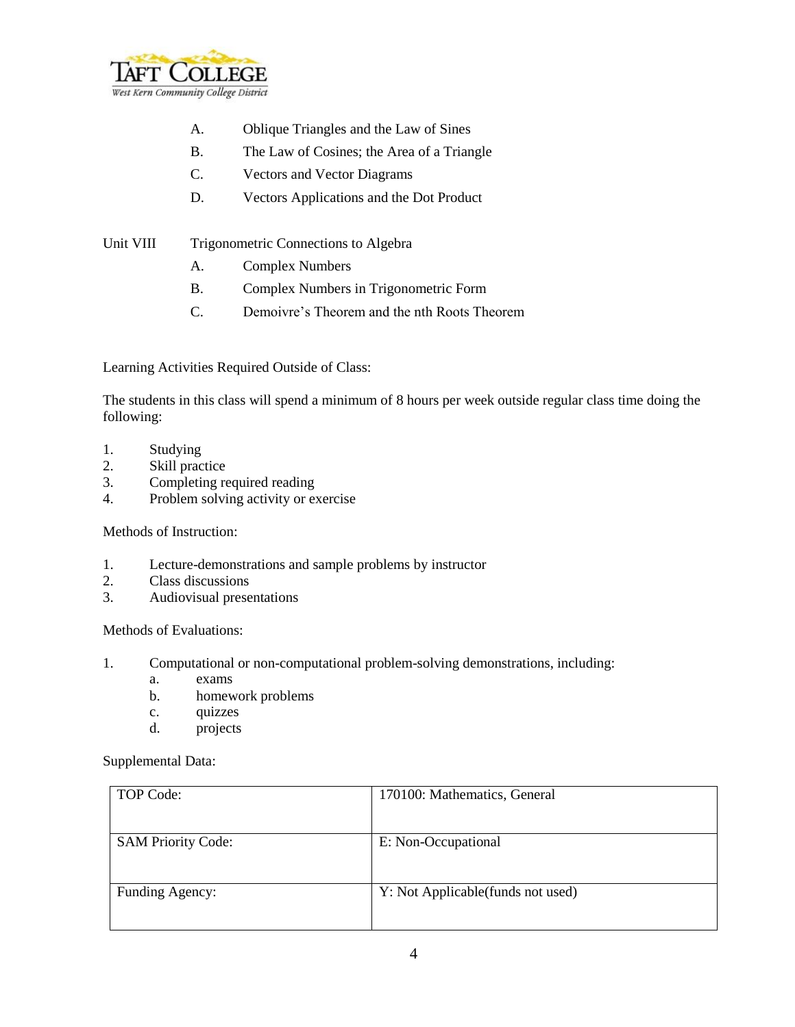

- A. Oblique Triangles and the Law of Sines
- B. The Law of Cosines; the Area of a Triangle
- C. Vectors and Vector Diagrams
- D. Vectors Applications and the Dot Product
- Unit VIII Trigonometric Connections to Algebra
	- A. Complex Numbers
	- B. Complex Numbers in Trigonometric Form
	- C. Demoivre's Theorem and the nth Roots Theorem

Learning Activities Required Outside of Class:

The students in this class will spend a minimum of 8 hours per week outside regular class time doing the following:

- 1. Studying
- 2. Skill practice
- 3. Completing required reading
- 4. Problem solving activity or exercise

Methods of Instruction:

- 1. Lecture-demonstrations and sample problems by instructor
- 2. Class discussions
- 3. Audiovisual presentations

Methods of Evaluations:

- 1. Computational or non-computational problem-solving demonstrations, including:
	- a. exams
	- b. homework problems
	- c. quizzes
	- d. projects

Supplemental Data:

| TOP Code:                 | 170100: Mathematics, General       |
|---------------------------|------------------------------------|
|                           |                                    |
| <b>SAM Priority Code:</b> | E: Non-Occupational                |
|                           |                                    |
| Funding Agency:           | Y: Not Applicable (funds not used) |
|                           |                                    |